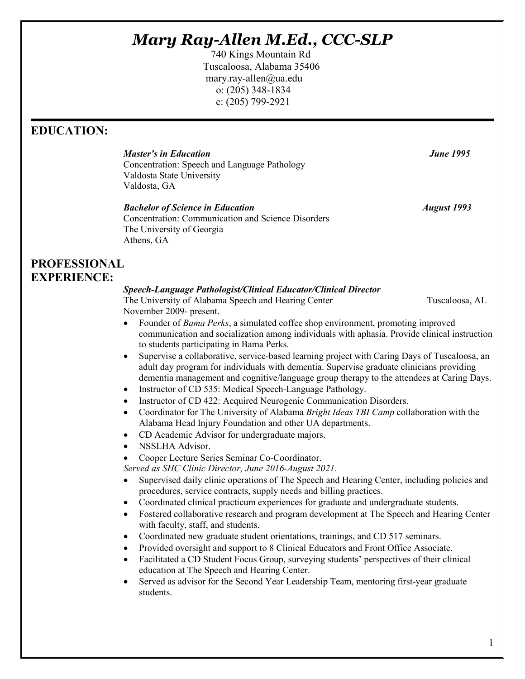# *Mary Ray-Allen M.Ed., CCC-SLP*

 740 Kings Mountain Rd Tuscaloosa, Alabama 35406 mary.ray-allen@ua.edu o: (205) 348-1834 c: (205) 799-2921

## **EDUCATION:**

*Master's in Education June 1995*  Concentration: Speech and Language Pathology Valdosta State University Valdosta, GA

*Bachelor of Science in Education August 1993* Concentration: Communication and Science Disorders The University of Georgia Athens, GA

## **PROFESSIONAL EXPERIENCE:**

### *Speech-Language Pathologist/Clinical Educator/Clinical Director*

The University of Alabama Speech and Hearing Center Tuscaloosa, AL November 2009- present.

- Founder of *Bama Perks*, a simulated coffee shop environment, promoting improved communication and socialization among individuals with aphasia. Provide clinical instruction to students participating in Bama Perks.
- Supervise a collaborative, service-based learning project with Caring Days of Tuscaloosa, an adult day program for individuals with dementia. Supervise graduate clinicians providing dementia management and cognitive/language group therapy to the attendees at Caring Days.
- Instructor of CD 535: Medical Speech-Language Pathology.
- Instructor of CD 422: Acquired Neurogenic Communication Disorders.
- Coordinator for The University of Alabama *Bright Ideas TBI Camp* collaboration with the Alabama Head Injury Foundation and other UA departments.
- CD Academic Advisor for undergraduate majors.
- NSSLHA Advisor.
- Cooper Lecture Series Seminar Co-Coordinator.

*Served as SHC Clinic Director, June 2016-August 2021.*

- Supervised daily clinic operations of The Speech and Hearing Center, including policies and procedures, service contracts, supply needs and billing practices.
- Coordinated clinical practicum experiences for graduate and undergraduate students.
- Fostered collaborative research and program development at The Speech and Hearing Center with faculty, staff, and students.
- Coordinated new graduate student orientations, trainings, and CD 517 seminars.
- Provided oversight and support to 8 Clinical Educators and Front Office Associate.
- Facilitated a CD Student Focus Group, surveying students' perspectives of their clinical education at The Speech and Hearing Center.
- Served as advisor for the Second Year Leadership Team, mentoring first-year graduate students.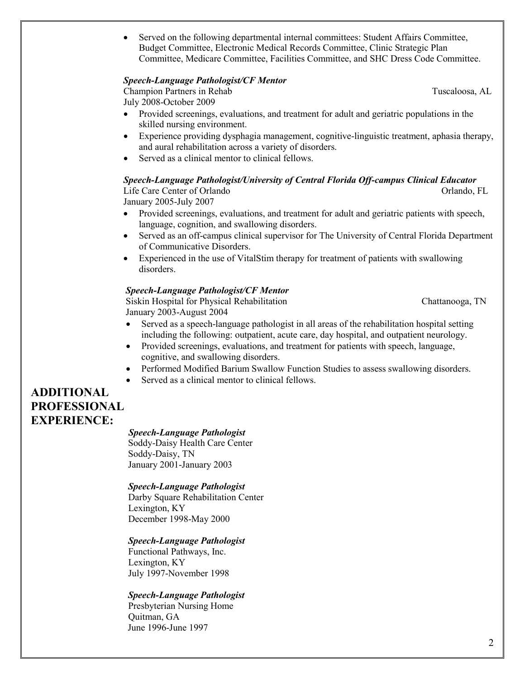• Served on the following departmental internal committees: Student Affairs Committee, Budget Committee, Electronic Medical Records Committee, Clinic Strategic Plan Committee, Medicare Committee, Facilities Committee, and SHC Dress Code Committee.

#### *Speech-Language Pathologist/CF Mentor*

Champion Partners in Rehab Tuscaloosa, AL July 2008-October 2009

- 
- Provided screenings, evaluations, and treatment for adult and geriatric populations in the skilled nursing environment.
- Experience providing dysphagia management, cognitive-linguistic treatment, aphasia therapy, and aural rehabilitation across a variety of disorders.
- Served as a clinical mentor to clinical fellows.

#### *Speech-Language Pathologist/University of Central Florida Off-campus Clinical Educator*

Life Care Center of Orlando **Orlando** Orlando, FL

January 2005-July 2007

- Provided screenings, evaluations, and treatment for adult and geriatric patients with speech, language, cognition, and swallowing disorders.
- Served as an off-campus clinical supervisor for The University of Central Florida Department of Communicative Disorders.
- Experienced in the use of VitalStim therapy for treatment of patients with swallowing disorders.

#### *Speech-Language Pathologist/CF Mentor*

Siskin Hospital for Physical Rehabilitation Chattanooga, TN January 2003-August 2004

- Served as a speech-language pathologist in all areas of the rehabilitation hospital setting including the following: outpatient, acute care, day hospital, and outpatient neurology.
- Provided screenings, evaluations, and treatment for patients with speech, language, cognitive, and swallowing disorders.
- Performed Modified Barium Swallow Function Studies to assess swallowing disorders.
- Served as a clinical mentor to clinical fellows.

## **ADDITIONAL PROFESSIONAL EXPERIENCE:** *Speech-Language Pathologist*

 Soddy-Daisy Health Care Center Soddy-Daisy, TN January 2001-January 2003

#### *Speech-Language Pathologist*

 Darby Square Rehabilitation Center Lexington, KY December 1998-May 2000

#### *Speech-Language Pathologist*

 Functional Pathways, Inc. Lexington, KY July 1997-November 1998

#### *Speech-Language Pathologist*

 Presbyterian Nursing Home Quitman, GA June 1996-June 1997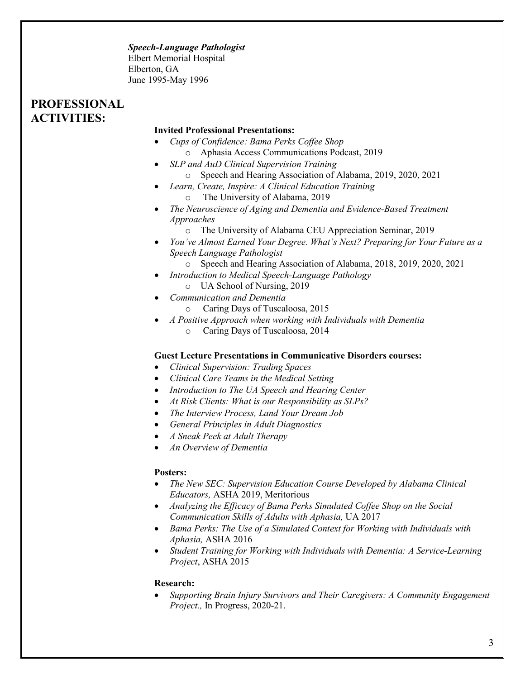#### *Speech-Language Pathologist*

Elbert Memorial Hospital Elberton, GA June 1995-May 1996

## **PROFESSIONAL ACTIVITIES:**

#### **Invited Professional Presentations:**

- *Cups of Confidence: Bama Perks Coffee Shop*  o Aphasia Access Communications Podcast, 2019
	- *SLP and AuD Clinical Supervision Training*
		- o Speech and Hearing Association of Alabama, 2019, 2020, 2021
- *Learn, Create, Inspire: A Clinical Education Training*
	- o The University of Alabama, 2019
- *The Neuroscience of Aging and Dementia and Evidence-Based Treatment Approaches*
	- o The University of Alabama CEU Appreciation Seminar, 2019
- *You've Almost Earned Your Degree. What's Next? Preparing for Your Future as a Speech Language Pathologist* 
	- o Speech and Hearing Association of Alabama, 2018, 2019, 2020, 2021
- *Introduction to Medical Speech-Language Pathology*
	- o UA School of Nursing, 2019
- *Communication and Dementia*
	- o Caring Days of Tuscaloosa, 2015
- *A Positive Approach when working with Individuals with Dementia*
	- o Caring Days of Tuscaloosa, 2014

#### **Guest Lecture Presentations in Communicative Disorders courses:**

- *Clinical Supervision: Trading Spaces*
- *Clinical Care Teams in the Medical Setting*
- *Introduction to The UA Speech and Hearing Center*
- *At Risk Clients: What is our Responsibility as SLPs?*
- *The Interview Process, Land Your Dream Job*
- *General Principles in Adult Diagnostics*
- *A Sneak Peek at Adult Therapy*
- *An Overview of Dementia*

#### **Posters:**

- *The New SEC: Supervision Education Course Developed by Alabama Clinical Educators,* ASHA 2019, Meritorious
- *Analyzing the Efficacy of Bama Perks Simulated Coffee Shop on the Social Communication Skills of Adults with Aphasia,* UA 2017
- *Bama Perks: The Use of a Simulated Context for Working with Individuals with Aphasia,* ASHA 2016
- *Student Training for Working with Individuals with Dementia: A Service-Learning Project*, ASHA 2015

#### **Research:**

• *Supporting Brain Injury Survivors and Their Caregivers: A Community Engagement Project.,* In Progress, 2020-21.